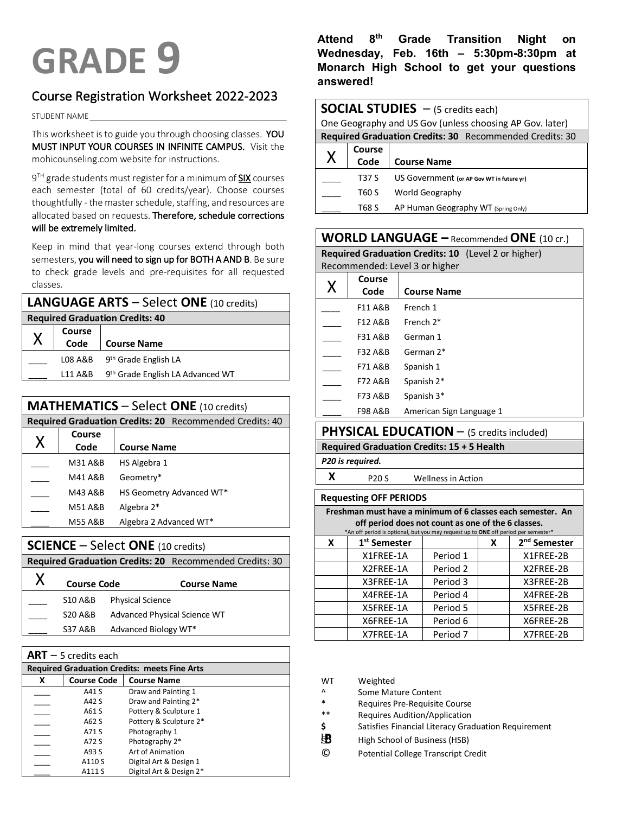# Course Registration Worksheet 2022-2023

STUDENT NAME\_\_\_\_\_\_\_\_\_\_\_\_\_\_\_\_\_\_\_\_\_\_\_\_\_\_\_\_\_\_\_\_\_\_\_\_\_\_\_\_\_\_\_\_\_\_\_

This worksheet is to guide you through choosing classes. YOU MUST INPUT YOUR COURSES IN INFINITE CAMPUS. Visit the mohicounseling.com website for instructions.

9<sup>TH</sup> grade students must register for a minimum of **SIX** courses each semester (total of 60 credits/year). Choose courses thoughtfully - the master schedule, staffing, and resources are allocated based on requests. Therefore, schedule corrections will be extremely limited.

Keep in mind that year-long courses extend through both semesters, you will need to sign up for BOTH A AND B. Be sure to check grade levels and pre-requisites for all requested classes.

| <b>LANGUAGE ARTS - Select ONE (10 credits)</b> |                |                                  |  |
|------------------------------------------------|----------------|----------------------------------|--|
| <b>Required Graduation Credits: 40</b>         |                |                                  |  |
|                                                | Course<br>Code |                                  |  |
| Χ                                              |                | <b>Course Name</b>               |  |
|                                                | L08 A&B        | 9 <sup>th</sup> Grade English LA |  |
|                                                | L11 A&B        | 9th Grade English LA Advanced WT |  |
|                                                |                |                                  |  |

### **MATHEMATICS** – Select **ONE** (10 credits)

|   |                    | Required Graduation Credits: 20 Recommended Credits: 40 |
|---|--------------------|---------------------------------------------------------|
|   | Course             |                                                         |
| Χ | Code               | <b>Course Name</b>                                      |
|   | M31 A&B            | HS Algebra 1                                            |
|   | M41 A&B            | Geometry*                                               |
|   | M43 A&B            | HS Geometry Advanced WT*                                |
|   | M51 A&B            | Algebra 2*                                              |
|   | <b>M55 A&amp;B</b> | Algebra 2 Advanced WT*                                  |
|   |                    |                                                         |

#### **SCIENCE** – Select **ONE** (10 credits)

**Required Graduation Credits: 20** Recommended Credits: 30 X **Course Code Course Name**

| $\lambda$ | Course Code        | Course Name                  |
|-----------|--------------------|------------------------------|
|           | S10 A&B            | <b>Physical Science</b>      |
|           | <b>S20 A&amp;B</b> | Advanced Physical Science WT |
|           | <b>S37 A&amp;B</b> | Advanced Biology WT*         |

| $ART - 5$ credits each |                    |                                                     |  |  |
|------------------------|--------------------|-----------------------------------------------------|--|--|
|                        |                    | <b>Required Graduation Credits: meets Fine Arts</b> |  |  |
| X                      | <b>Course Code</b> | <b>Course Name</b>                                  |  |  |
|                        | A41 S              | Draw and Painting 1                                 |  |  |
|                        | A42 S              | Draw and Painting 2*                                |  |  |
|                        | A61 S              | Pottery & Sculpture 1                               |  |  |
|                        | A62 S              | Pottery & Sculpture 2*                              |  |  |
|                        | A71 S              | Photography 1                                       |  |  |
|                        | A72 S              | Photography 2*                                      |  |  |
|                        | A93 S              | Art of Animation                                    |  |  |
|                        | A110 S             | Digital Art & Design 1                              |  |  |
|                        | A111 S             | Digital Art & Design 2*                             |  |  |

**Attend 8th Grade Transition Night on Wednesday, Feb. 16th – 5:30pm-8:30pm at GRADE 9** Wednesday, Feb. 16th – 5:30pm-8:30pm at Monarch High School to get your questions **answered!**

|   | <b>SOCIAL STUDIES</b> $-$ (5 credits each) |                                                          |  |  |
|---|--------------------------------------------|----------------------------------------------------------|--|--|
|   |                                            | One Geography and US Gov (unless choosing AP Gov. later) |  |  |
|   |                                            | Required Graduation Credits: 30 Recommended Credits: 30  |  |  |
| X | Course<br>Code                             | <b>Course Name</b>                                       |  |  |
|   | T37 S                                      | US Government (or AP Gov WT in future yr)                |  |  |
|   | T60 S                                      | World Geography                                          |  |  |
|   | T68 S                                      | AP Human Geography WT (Spring Only)                      |  |  |

| <b>WORLD LANGUAGE</b> - Recommended ONE (10 cr.) |                    |                                                     |  |
|--------------------------------------------------|--------------------|-----------------------------------------------------|--|
|                                                  |                    | Required Graduation Credits: 10 (Level 2 or higher) |  |
|                                                  |                    | Recommended: Level 3 or higher                      |  |
|                                                  | Course             |                                                     |  |
| Χ                                                | Code               | <b>Course Name</b>                                  |  |
|                                                  | <b>F11 A&amp;B</b> | French 1                                            |  |
|                                                  | F12 A&B            | French 2*                                           |  |
|                                                  | F31 A&B            | German 1                                            |  |
|                                                  | F32 A&B            | German 2*                                           |  |
|                                                  | F71 A&B            | Spanish 1                                           |  |
|                                                  | <b>F72 A&amp;B</b> | Spanish 2*                                          |  |
|                                                  | F73 A&B            | Spanish 3*                                          |  |
|                                                  | F98 A&B            | American Sign Language 1                            |  |

# **PHYSICAL EDUCATION** – (5 credits included)

# **Required Graduation Credits: 15 + 5 Health**

*P20 is required.*

**X** P20 S Wellness in Action

# **Requesting OFF PERIODS**

**Freshman must have a minimum of 6 classes each semester. An off period does not count as one of the 6 classes.**

|   | *An off period is optional, but you may request up to ONE off period per semester* |          |   |                          |  |
|---|------------------------------------------------------------------------------------|----------|---|--------------------------|--|
| X | 1 <sup>st</sup> Semester                                                           |          | X | 2 <sup>nd</sup> Semester |  |
|   | X1FREE-1A                                                                          | Period 1 |   | X1FREE-2B                |  |
|   | X2FREE-1A                                                                          | Period 2 |   | X2FREE-2B                |  |
|   | X3FREE-1A                                                                          | Period 3 |   | X3FREE-2B                |  |
|   | X4FREE-1A                                                                          | Period 4 |   | X4FREE-2B                |  |
|   | X5FREE-1A                                                                          | Period 5 |   | X5FREE-2B                |  |
|   | X6FREE-1A                                                                          | Period 6 |   | X6FREE-2B                |  |
|   | X7FREE-1A                                                                          | Period 7 |   | X7FREE-2B                |  |

| WТ | Weighted            |
|----|---------------------|
| Λ  | Some Mature Content |

Requires Pre-Requisite Course

- Requires Audition/Application
- **\$** Satisfies Financial Literacy Graduation Requirement
- 围 High School of Business (HSB)
- © Potential College Transcript Credit